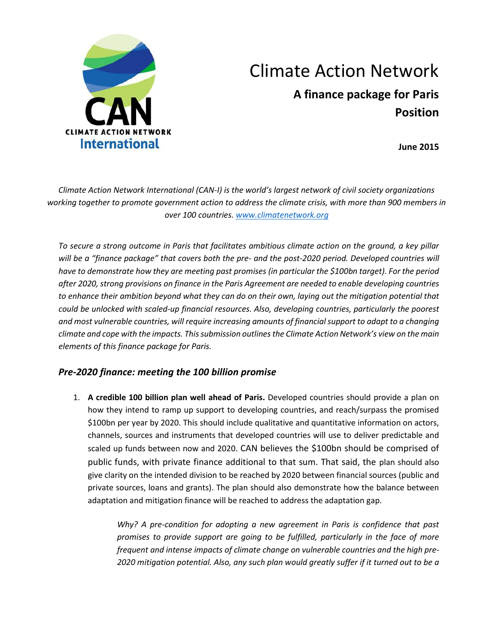

## Climate Action Network **A finance package for Paris Position**

**June 2015**

*Climate Action Network International (CAN-I) is the world's largest network of civil society organizations working together to promote government action to address the climate crisis, with more than 900 members in over 100 countries. [www.climatenetwork.org](http://www.climatenetwork.org/)*

*To secure a strong outcome in Paris that facilitates ambitious climate action on the ground, a key pillar will be a "finance package" that covers both the pre- and the post-2020 period. Developed countries will have to demonstrate how they are meeting past promises (in particular the \$100bn target). For the period after 2020, strong provisions on finance in the Paris Agreement are needed to enable developing countries to enhance their ambition beyond what they can do on their own, laying out the mitigation potential that could be unlocked with scaled-up financial resources. Also, developing countries, particularly the poorest and most vulnerable countries, will require increasing amounts of financial support to adapt to a changing climate and cope with the impacts. This submission outlines the Climate Action Network's view on the main elements of this finance package for Paris.* 

## *Pre-2020 finance: meeting the 100 billion promise*

1. **A credible 100 billion plan well ahead of Paris.** Developed countries should provide a plan on how they intend to ramp up support to developing countries, and reach/surpass the promised \$100bn per year by 2020. This should include qualitative and quantitative information on actors, channels, sources and instruments that developed countries will use to deliver predictable and scaled up funds between now and 2020. CAN believes the \$100bn should be comprised of public funds, with private finance additional to that sum. That said, the plan should also give clarity on the intended division to be reached by 2020 between financial sources (public and private sources, loans and grants). The plan should also demonstrate how the balance between adaptation and mitigation finance will be reached to address the adaptation gap.

> *Why? A pre-condition for adopting a new agreement in Paris is confidence that past promises to provide support are going to be fulfilled, particularly in the face of more frequent and intense impacts of climate change on vulnerable countries and the high pre-2020 mitigation potential. Also, any such plan would greatly suffer if it turned out to be a*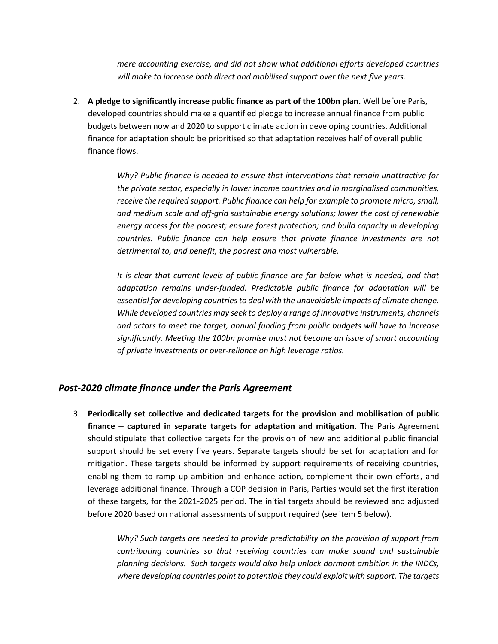*mere accounting exercise, and did not show what additional efforts developed countries will make to increase both direct and mobilised support over the next five years.*

2. **A pledge to significantly increase public finance as part of the 100bn plan.** Well before Paris, developed countries should make a quantified pledge to increase annual finance from public budgets between now and 2020 to support climate action in developing countries. Additional finance for adaptation should be prioritised so that adaptation receives half of overall public finance flows.

> *Why? Public finance is needed to ensure that interventions that remain unattractive for the private sector, especially in lower income countries and in marginalised communities, receive the required support. Public finance can help for example to promote micro, small, and medium scale and off-grid sustainable energy solutions; lower the cost of renewable energy access for the poorest; ensure forest protection; and build capacity in developing countries. Public finance can help ensure that private finance investments are not detrimental to, and benefit, the poorest and most vulnerable.*

> *It is clear that current levels of public finance are far below what is needed, and that adaptation remains under-funded. Predictable public finance for adaptation will be essential for developing countries to deal with the unavoidable impacts of climate change. While developed countries may seek to deploy a range of innovative instruments, channels and actors to meet the target, annual funding from public budgets will have to increase significantly. Meeting the 100bn promise must not become an issue of smart accounting of private investments or over-reliance on high leverage ratios.*

## *Post-2020 climate finance under the Paris Agreement*

3. **Periodically set collective and dedicated targets for the provision and mobilisation of public finance – captured in separate targets for adaptation and mitigation**. The Paris Agreement should stipulate that collective targets for the provision of new and additional public financial support should be set every five years. Separate targets should be set for adaptation and for mitigation. These targets should be informed by support requirements of receiving countries, enabling them to ramp up ambition and enhance action, complement their own efforts, and leverage additional finance. Through a COP decision in Paris, Parties would set the first iteration of these targets, for the 2021-2025 period. The initial targets should be reviewed and adjusted before 2020 based on national assessments of support required (see item 5 below).

> *Why? Such targets are needed to provide predictability on the provision of support from contributing countries so that receiving countries can make sound and sustainable planning decisions. Such targets would also help unlock dormant ambition in the INDCs, where developing countries point to potentials they could exploit with support. The targets*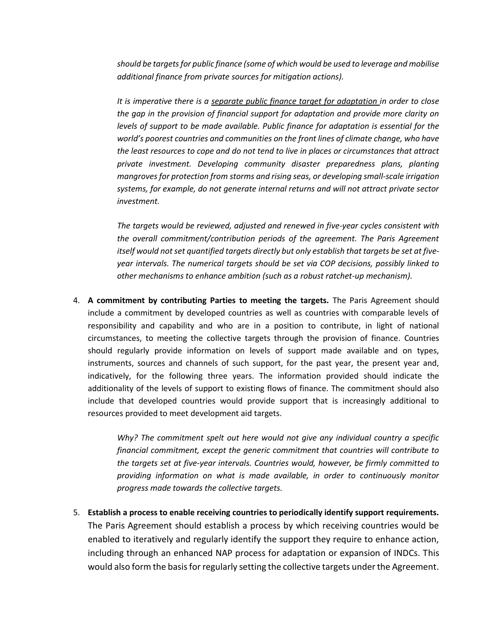*should be targets for public finance (some of which would be used to leverage and mobilise additional finance from private sources for mitigation actions).* 

*It is imperative there is a separate public finance target for adaptation in order to close the gap in the provision of financial support for adaptation and provide more clarity on levels of support to be made available. Public finance for adaptation is essential for the world's poorest countries and communities on the front lines of climate change, who have the least resources to cope and do not tend to live in places or circumstances that attract private investment. Developing community disaster preparedness plans, planting mangroves for protection from storms and rising seas, or developing small-scale irrigation systems, for example, do not generate internal returns and will not attract private sector investment.* 

*The targets would be reviewed, adjusted and renewed in five-year cycles consistent with the overall commitment/contribution periods of the agreement. The Paris Agreement itself would not set quantified targets directly but only establish that targets be set at fiveyear intervals. The numerical targets should be set via COP decisions, possibly linked to other mechanisms to enhance ambition (such as a robust ratchet-up mechanism).*

4. **A commitment by contributing Parties to meeting the targets.** The Paris Agreement should include a commitment by developed countries as well as countries with comparable levels of responsibility and capability and who are in a position to contribute, in light of national circumstances, to meeting the collective targets through the provision of finance. Countries should regularly provide information on levels of support made available and on types, instruments, sources and channels of such support, for the past year, the present year and, indicatively, for the following three years. The information provided should indicate the additionality of the levels of support to existing flows of finance. The commitment should also include that developed countries would provide support that is increasingly additional to resources provided to meet development aid targets.

> *Why? The commitment spelt out here would not give any individual country a specific financial commitment, except the generic commitment that countries will contribute to the targets set at five-year intervals. Countries would, however, be firmly committed to providing information on what is made available, in order to continuously monitor progress made towards the collective targets.*

5. **Establish a process to enable receiving countries to periodically identify support requirements.**  The Paris Agreement should establish a process by which receiving countries would be enabled to iteratively and regularly identify the support they require to enhance action, including through an enhanced NAP process for adaptation or expansion of INDCs. This would also form the basis for regularly setting the collective targets under the Agreement.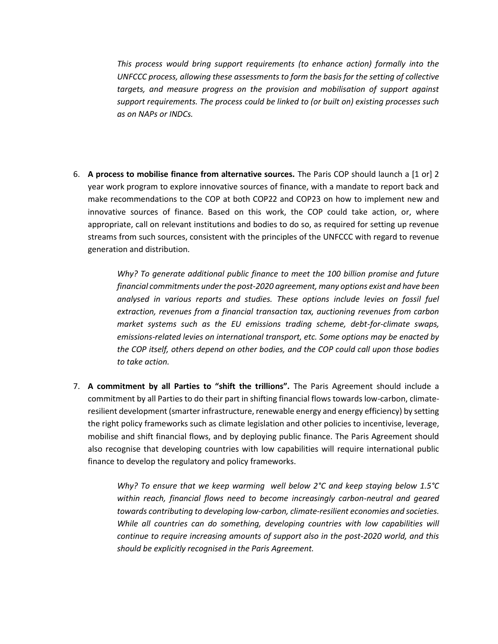*This process would bring support requirements (to enhance action) formally into the UNFCCC process, allowing these assessments to form the basis for the setting of collective targets, and measure progress on the provision and mobilisation of support against support requirements. The process could be linked to (or built on) existing processes such as on NAPs or INDCs.* 

6. **A process to mobilise finance from alternative sources.** The Paris COP should launch a [1 or] 2 year work program to explore innovative sources of finance, with a mandate to report back and make recommendations to the COP at both COP22 and COP23 on how to implement new and innovative sources of finance. Based on this work, the COP could take action, or, where appropriate, call on relevant institutions and bodies to do so, as required for setting up revenue streams from such sources, consistent with the principles of the UNFCCC with regard to revenue generation and distribution.

> *Why? To generate additional public finance to meet the 100 billion promise and future financial commitments under the post-2020 agreement, many options exist and have been analysed in various reports and studies. These options include levies on fossil fuel extraction, revenues from a financial transaction tax, auctioning revenues from carbon market systems such as the EU emissions trading scheme, debt-for-climate swaps, emissions-related levies on international transport, etc. Some options may be enacted by the COP itself, others depend on other bodies, and the COP could call upon those bodies to take action.*

7. **A commitment by all Parties to "shift the trillions".** The Paris Agreement should include a commitment by all Parties to do their part in shifting financial flows towards low-carbon, climateresilient development (smarter infrastructure, renewable energy and energy efficiency) by setting the right policy frameworks such as climate legislation and other policies to incentivise, leverage, mobilise and shift financial flows, and by deploying public finance. The Paris Agreement should also recognise that developing countries with low capabilities will require international public finance to develop the regulatory and policy frameworks.

> *Why? To ensure that we keep warming well below 2°C and keep staying below 1.5°C within reach, financial flows need to become increasingly carbon-neutral and geared towards contributing to developing low-carbon, climate-resilient economies and societies.*  While all countries can do something, developing countries with low capabilities will *continue to require increasing amounts of support also in the post-2020 world, and this should be explicitly recognised in the Paris Agreement.*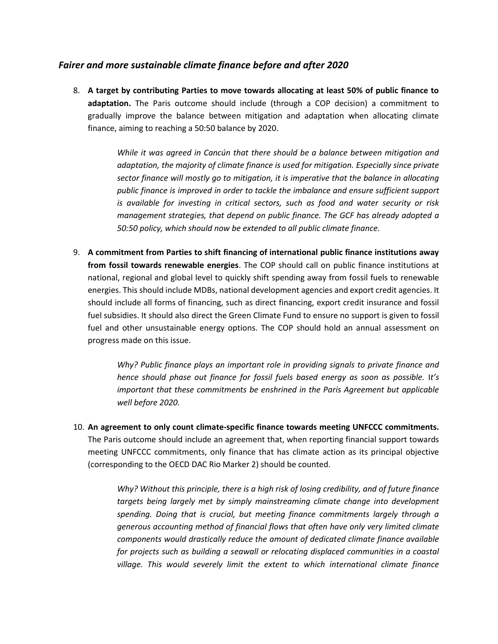## *Fairer and more sustainable climate finance before and after 2020*

8. **A target by contributing Parties to move towards allocating at least 50% of public finance to adaptation.** The Paris outcome should include (through a COP decision) a commitment to gradually improve the balance between mitigation and adaptation when allocating climate finance, aiming to reaching a 50:50 balance by 2020.

> *While it was agreed in Cancún that there should be a balance between mitigation and adaptation, the majority of climate finance is used for mitigation. Especially since private sector finance will mostly go to mitigation, it is imperative that the balance in allocating public finance is improved in order to tackle the imbalance and ensure sufficient support is available for investing in critical sectors, such as food and water security or risk management strategies, that depend on public finance. The GCF has already adopted a 50:50 policy, which should now be extended to all public climate finance.*

9. **A commitment from Parties to shift financing of international public finance institutions away from fossil towards renewable energies**. The COP should call on public finance institutions at national, regional and global level to quickly shift spending away from fossil fuels to renewable energies. This should include MDBs, national development agencies and export credit agencies. It should include all forms of financing, such as direct financing, export credit insurance and fossil fuel subsidies. It should also direct the Green Climate Fund to ensure no support is given to fossil fuel and other unsustainable energy options. The COP should hold an annual assessment on progress made on this issue.

> *Why? Public finance plays an important role in providing signals to private finance and hence should phase out finance for fossil fuels based energy as soon as possible.* I*t's important that these commitments be enshrined in the Paris Agreement but applicable well before 2020.*

10. **An agreement to only count climate-specific finance towards meeting UNFCCC commitments.**  The Paris outcome should include an agreement that, when reporting financial support towards meeting UNFCCC commitments, only finance that has climate action as its principal objective (corresponding to the OECD DAC Rio Marker 2) should be counted.

> *Why? Without this principle, there is a high risk of losing credibility, and of future finance targets being largely met by simply mainstreaming climate change into development spending. Doing that is crucial, but meeting finance commitments largely through a generous accounting method of financial flows that often have only very limited climate components would drastically reduce the amount of dedicated climate finance available for projects such as building a seawall or relocating displaced communities in a coastal village. This would severely limit the extent to which international climate finance*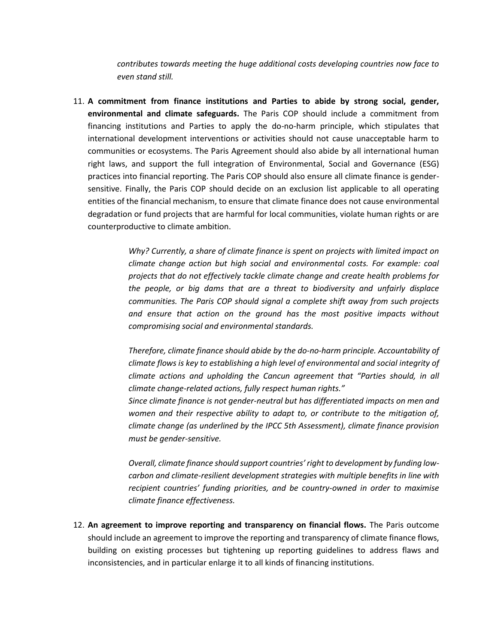*contributes towards meeting the huge additional costs developing countries now face to even stand still.*

11. **A commitment from finance institutions and Parties to abide by strong social, gender, environmental and climate safeguards.** The Paris COP should include a commitment from financing institutions and Parties to apply the do-no-harm principle, which stipulates that international development interventions or activities should not cause unacceptable harm to communities or ecosystems. The Paris Agreement should also abide by all international human right laws, and support the full integration of Environmental, Social and Governance (ESG) practices into financial reporting. The Paris COP should also ensure all climate finance is gendersensitive. Finally, the Paris COP should decide on an exclusion list applicable to all operating entities of the financial mechanism, to ensure that climate finance does not cause environmental degradation or fund projects that are harmful for local communities, violate human rights or are counterproductive to climate ambition.

> *Why? Currently, a share of climate finance is spent on projects with limited impact on climate change action but high social and environmental costs. For example: coal projects that do not effectively tackle climate change and create health problems for the people, or big dams that are a threat to biodiversity and unfairly displace communities. The Paris COP should signal a complete shift away from such projects and ensure that action on the ground has the most positive impacts without compromising social and environmental standards.*

> *Therefore, climate finance should abide by the do-no-harm principle. Accountability of climate flows is key to establishing a high level of environmental and social integrity of climate actions and upholding the Cancun agreement that "Parties should, in all climate change-related actions, fully respect human rights."*

> *Since climate finance is not gender-neutral but has differentiated impacts on men and women and their respective ability to adapt to, or contribute to the mitigation of, climate change (as underlined by the IPCC 5th Assessment), climate finance provision must be gender-sensitive.*

> *Overall, climate finance should support countries' right to development by funding lowcarbon and climate-resilient development strategies with multiple benefits in line with recipient countries' funding priorities, and be country-owned in order to maximise climate finance effectiveness.*

12. **An agreement to improve reporting and transparency on financial flows.** The Paris outcome should include an agreement to improve the reporting and transparency of climate finance flows, building on existing processes but tightening up reporting guidelines to address flaws and inconsistencies, and in particular enlarge it to all kinds of financing institutions.